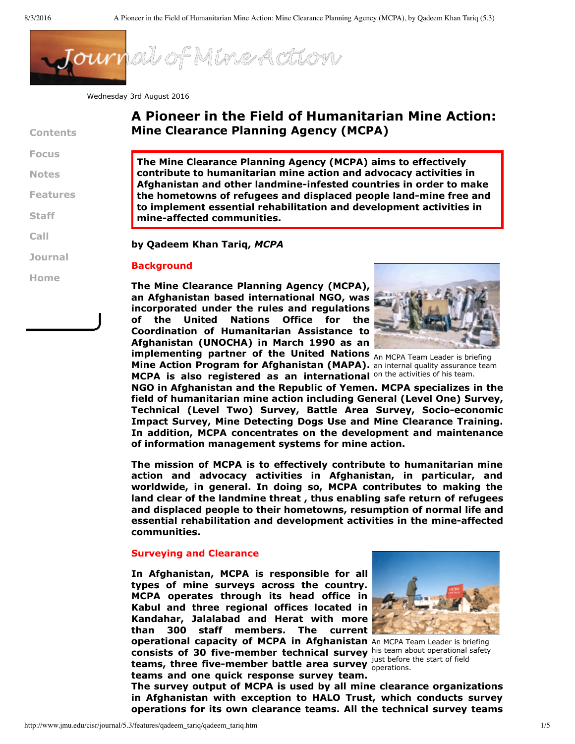

Wednesday 3rd August 2016

|                 | A Pioneer in the I                                      |
|-----------------|---------------------------------------------------------|
| <b>Contents</b> | <b>Mine Clearance Pla</b>                               |
| <b>Focus</b>    | <b>The Mine Clearance Pla</b>                           |
| <b>Notes</b>    | contribute to humanita<br><b>Afghanistan and other</b>  |
| <b>Features</b> | the hometowns of refu                                   |
| <b>Staff</b>    | to implement essentia<br>mine-affected commur           |
| Call            | by Qadeem Khan Tariq,                                   |
| <b>Journal</b>  | <b>Background</b>                                       |
| Home            |                                                         |
|                 | <b>The Mine Clearance Pla</b><br>an Afghanistan based i |

# **Field of Humanitarian Mine Action: Ming Agency** (MCPA)

**The Mine Clearance Planning Agency (MCPA) aims to effectively contribute to humanitarian mine action and advocacy activities in Afghanistan and other landmineinfested countries in order to make the hometowns of refugees and displaced people landmine free and to implement essential rehabilitation and development activities in mineaffected communities.**

## **MCPA**

**implementing partner of the United Nations** An MCPA Team Leader is briefing **The Mine Clearance Planning Agency (MCPA), an Afghanistan based international NGO, was incorporated under the rules and regulations of the United Nations Office for the Coordination of Humanitarian Assistance to Afghanistan (UNOCHA) in March 1990 as an**



**Mine Action Program for Afghanistan (MAPA).** an internal quality assurance team MCPA is also registered as an international on the activities of his team.

**NGO in Afghanistan and the Republic of Yemen. MCPA specializes in the field of humanitarian mine action including General (Level One) Survey, Technical (Level Two) Survey, Battle Area Survey, Socioeconomic Impact Survey, Mine Detecting Dogs Use and Mine Clearance Training. In addition, MCPA concentrates on the development and maintenance of information management systems for mine action.**

**The mission of MCPA is to effectively contribute to humanitarian mine action and advocacy activities in Afghanistan, in particular, and worldwide, in general. In doing so, MCPA contributes to making the land clear of the landmine threat , thus enabling safe return of refugees and displaced people to their hometowns, resumption of normal life and essential rehabilitation and development activities in the mineaffected communities.**

## **Surveying and Clearance**

**operational capacity of MCPA in Afghanistan** An MCPA Team Leader is briefing **consists of 30 five-member technical survey** his team about operational safety **teams, three five-member battle area survey**  $_{\text{operations.}}^{\text{just before}}$ **In Afghanistan, MCPA is responsible for all types of mine surveys across the country. MCPA operates through its head office in Kabul and three regional offices located in Kandahar, Jalalabad and Herat with more than 300 staff members. The current teams and one quick response survey team.**



just before the start of field

**The survey output of MCPA is used by all mine clearance organizations in Afghanistan with exception to HALO Trust, which conducts survey operations for its own clearance teams. All the technical survey teams**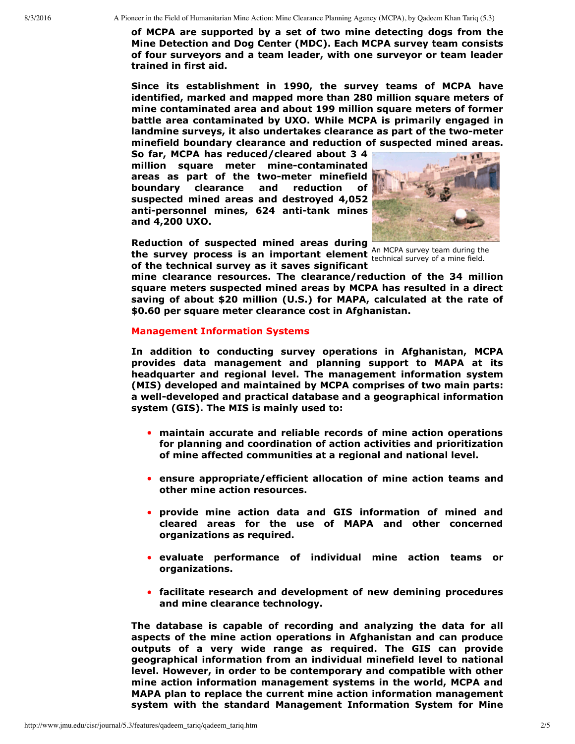**of MCPA are supported by a set of two mine detecting dogs from the Mine Detection and Dog Center (MDC). Each MCPA survey team consists of four surveyors and a team leader, with one surveyor or team leader trained in first aid.**

**Since its establishment in 1990, the survey teams of MCPA have identified, marked and mapped more than 280 million square meters of mine contaminated area and about 199 million square meters of former battle area contaminated by UXO. While MCPA is primarily engaged in landmine surveys, it also undertakes clearance as part of the twometer minefield boundary clearance and reduction of suspected mined areas.**

**So far, MCPA has reduced/cleared about 3 4 million square meter minecontaminated areas** as part of the two-meter minefield **boundary clearance and reduction of suspected mined areas and destroyed 4,052 anti-personnel mines, 624 anti-tank mines and 4,200 UXO.**



the survey process is an important element  $\frac{\text{ATI MCP}}{\text{technical survey of a mine field.}}$ **Reduction of suspected mined areas during of the technical survey as it saves significant**

An MCPA survey team during the

**mine clearance resources. The clearance/reduction of the 34 million square meters suspected mined areas by MCPA has resulted in a direct saving of about \$20 million (U.S.) for MAPA, calculated at the rate of \$0.60 per square meter clearance cost in Afghanistan.**

### **Management Information Systems**

**In addition to conducting survey operations in Afghanistan, MCPA provides data management and planning support to MAPA at its headquarter and regional level. The management information system (MIS) developed and maintained by MCPA comprises of two main parts: a** well-developed and practical database and a geographical information **system (GIS). The MIS is mainly used to:**

- **maintain accurate and reliable records of mine action operations for planning and coordination of action activities and prioritization of mine affected communities at a regional and national level.**
- **ensure appropriate/efficient allocation of mine action teams and other mine action resources.**
- **provide mine action data and GIS information of mined and cleared areas for the use of MAPA and other concerned organizations as required.**
- **evaluate performance of individual mine action teams or organizations.**
- **facilitate research and development of new demining procedures and mine clearance technology.**

**The database is capable of recording and analyzing the data for all aspects of the mine action operations in Afghanistan and can produce outputs of a very wide range as required. The GIS can provide geographical information from an individual minefield level to national level. However, in order to be contemporary and compatible with other mine action information management systems in the world, MCPA and MAPA plan to replace the current mine action information management system with the standard Management Information System for Mine**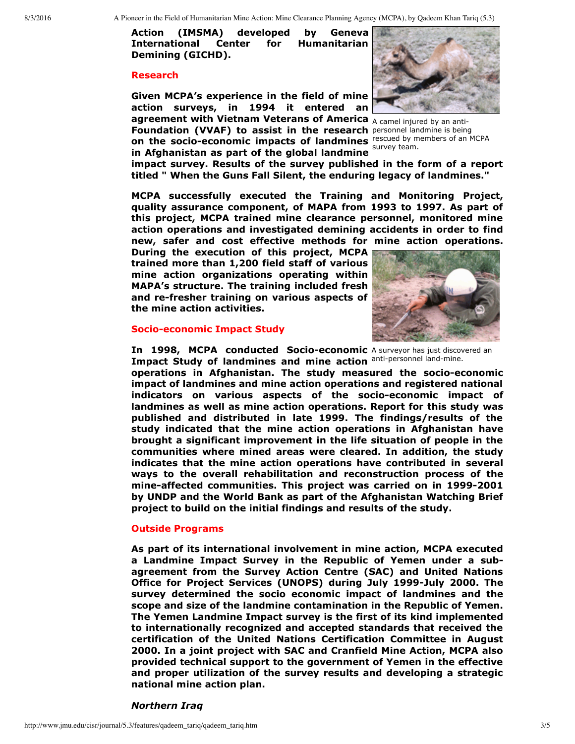**Action (IMSMA) developed by Geneva International Center for Humanitarian Demining (GICHD).**

#### **Research**

**agreement with Vietnam Veterans of America** A camel injured by an anti-**Foundation (VVAF) to assist in the research** personnel landmine is being **Given MCPA's experience in the field of mine action surveys, in 1994 it entered an**

**on the socio-economic impacts of landmines** rescued by members of an MCPA survey team. **in Afghanistan as part of the global landmine**



**impact survey. Results of the survey published in the form of a report titled " When the Guns Fall Silent, the enduring legacy of landmines."**

**MCPA successfully executed the Training and Monitoring Project, quality assurance component, of MAPA from 1993 to 1997. As part of this project, MCPA trained mine clearance personnel, monitored mine action operations and investigated demining accidents in order to find new, safer and cost effective methods for mine action operations.**

**During the execution of this project, MCPA trained more than 1,200 field staff of various mine action organizations operating within MAPA's structure. The training included fresh and refresher training on various aspects of the mine action activities.**



#### **Socio-economic Impact Study**

**In 1998, MCPA conducted Socio-economic** A surveyor has just discovered an Impact Study of landmines and mine action anti-personnel land-mine.

**operations in Afghanistan. The study measured the socioeconomic impact of landmines and mine action operations and registered national indicators** on various aspects of the socio-economic impact of **landmines as well as mine action operations. Report for this study was published and distributed in late 1999. The findings/results of the study indicated that the mine action operations in Afghanistan have brought a significant improvement in the life situation of people in the communities where mined areas were cleared. In addition, the study indicates that the mine action operations have contributed in several ways to the overall rehabilitation and reconstruction process of the mineaffected communities. This project was carried on in 19992001 by UNDP and the World Bank as part of the Afghanistan Watching Brief project to build on the initial findings and results of the study.**

### **Outside Programs**

**As part of its international involvement in mine action, MCPA executed a Landmine Impact Survey in the Republic of Yemen under a subagreement from the Survey Action Centre (SAC) and United Nations Office for Project Services (UNOPS) during July 1999July 2000. The survey determined the socio economic impact of landmines and the scope and size of the landmine contamination in the Republic of Yemen. The Yemen Landmine Impact survey is the first of its kind implemented to internationally recognized and accepted standards that received the certification of the United Nations Certification Committee in August 2000. In a joint project with SAC and Cranfield Mine Action, MCPA also provided technical support to the government of Yemen in the effective and proper utilization of the survey results and developing a strategic national mine action plan.**

*Northern Iraq*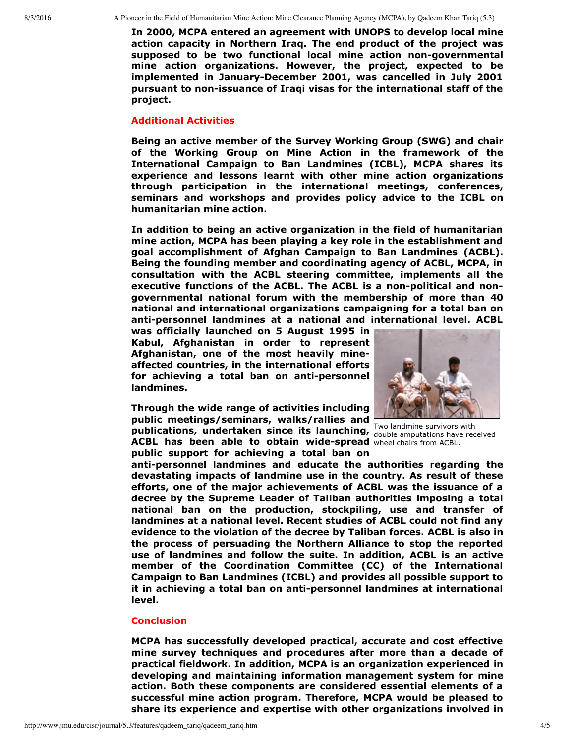8/3/2016 A Pioneer in the Field of Humanitarian Mine Action: Mine Clearance Planning Agency (MCPA), by Qadeem Khan Tariq (5.3)

**In 2000, MCPA entered an agreement with UNOPS to develop local mine action capacity in Northern Iraq. The end product of the project was supposed to be two functional local mine action nongovernmental mine action organizations. However, the project, expected to be implemented in JanuaryDecember 2001, was cancelled in July 2001 pursuant to nonissuance of Iraqi visas for the international staff of the project.**

## **Additional Activities**

**Being an active member of the Survey Working Group (SWG) and chair of the Working Group on Mine Action in the framework of the International Campaign to Ban Landmines (ICBL), MCPA shares its experience and lessons learnt with other mine action organizations through participation in the international meetings, conferences, seminars and workshops and provides policy advice to the ICBL on humanitarian mine action.**

**In addition to being an active organization in the field of humanitarian mine action, MCPA has been playing a key role in the establishment and goal accomplishment of Afghan Campaign to Ban Landmines (ACBL). Being the founding member and coordinating agency of ACBL, MCPA, in consultation with the ACBL steering committee, implements all the executive functions of the ACBL. The ACBL is a nonpolitical and nongovernmental national forum with the membership of more than 40 national and international organizations campaigning for a total ban on antipersonnel landmines at a national and international level. ACBL**

**was officially launched on 5 August 1995 in Kabul, Afghanistan in order to represent Afghanistan, one of the most heavily mineaffected countries, in the international efforts for achieving a total ban on antipersonnel landmines.**

ACBL has been able to obtain wide-spread wheel chairs from ACBL. **Through the wide range of activities including public meetings/seminars, walks/rallies and publications, undertaken since its launching, public support for achieving a total ban on**



Two landmine survivors with double amputations have received

**antipersonnel landmines and educate the authorities regarding the devastating impacts of landmine use in the country. As result of these efforts, one of the major achievements of ACBL was the issuance of a decree by the Supreme Leader of Taliban authorities imposing a total national ban on the production, stockpiling, use and transfer of landmines at a national level. Recent studies of ACBL could not find any evidence to the violation of the decree by Taliban forces. ACBL is also in the process of persuading the Northern Alliance to stop the reported use of landmines and follow the suite. In addition, ACBL is an active member of the Coordination Committee (CC) of the International Campaign to Ban Landmines (ICBL) and provides all possible support to it in achieving a total ban on antipersonnel landmines at international level.**

### **Conclusion**

**MCPA has successfully developed practical, accurate and cost effective mine survey techniques and procedures after more than a decade of practical fieldwork. In addition, MCPA is an organization experienced in developing and maintaining information management system for mine action. Both these components are considered essential elements of a successful mine action program. Therefore, MCPA would be pleased to share its experience and expertise with other organizations involved in**